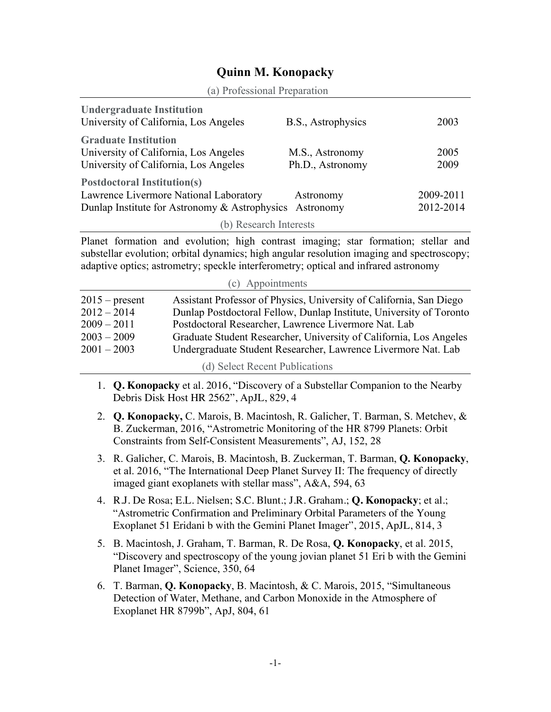## **Quinn M. Konopacky**

| (a) Professional Preparation                                                                                                    |                                     |                        |
|---------------------------------------------------------------------------------------------------------------------------------|-------------------------------------|------------------------|
| <b>Undergraduate Institution</b><br>University of California, Los Angeles                                                       | B.S., Astrophysics                  | 2003                   |
| <b>Graduate Institution</b><br>University of California, Los Angeles<br>University of California, Los Angeles                   | M.S., Astronomy<br>Ph.D., Astronomy | 2005<br>2009           |
| <b>Postdoctoral Institution(s)</b><br>Lawrence Livermore National Laboratory<br>Dunlap Institute for Astronomy $&$ Astrophysics | Astronomy<br>Astronomy              | 2009-2011<br>2012-2014 |
| (b) Research Interests                                                                                                          |                                     |                        |

Planet formation and evolution; high contrast imaging; star formation; stellar and substellar evolution; orbital dynamics; high angular resolution imaging and spectroscopy; adaptive optics; astrometry; speckle interferometry; optical and infrared astronomy

| (c) Appointments |                                                                     |  |
|------------------|---------------------------------------------------------------------|--|
| $2015$ – present | Assistant Professor of Physics, University of California, San Diego |  |
| $2012 - 2014$    | Dunlap Postdoctoral Fellow, Dunlap Institute, University of Toronto |  |
| $2009 - 2011$    | Postdoctoral Researcher, Lawrence Livermore Nat. Lab                |  |
| $2003 - 2009$    | Graduate Student Researcher, University of California, Los Angeles  |  |
| $2001 - 2003$    | Undergraduate Student Researcher, Lawrence Livermore Nat. Lab       |  |
|                  | (d) Select Recent Publications                                      |  |

- 1. **Q. Konopacky** et al. 2016, "Discovery of a Substellar Companion to the Nearby
- Debris Disk Host HR 2562", ApJL, 829, 4
- 2. **Q. Konopacky,** C. Marois, B. Macintosh, R. Galicher, T. Barman, S. Metchev, & B. Zuckerman, 2016, "Astrometric Monitoring of the HR 8799 Planets: Orbit Constraints from Self-Consistent Measurements", AJ, 152, 28
- 3. R. Galicher, C. Marois, B. Macintosh, B. Zuckerman, T. Barman, **Q. Konopacky**, et al. 2016, "The International Deep Planet Survey II: The frequency of directly imaged giant exoplanets with stellar mass", A&A, 594, 63
- 4. R.J. De Rosa; E.L. Nielsen; S.C. Blunt.; J.R. Graham.; **Q. Konopacky**; et al.; "Astrometric Confirmation and Preliminary Orbital Parameters of the Young Exoplanet 51 Eridani b with the Gemini Planet Imager", 2015, ApJL, 814, 3
- 5. B. Macintosh, J. Graham, T. Barman, R. De Rosa, **Q. Konopacky**, et al. 2015, "Discovery and spectroscopy of the young jovian planet 51 Eri b with the Gemini Planet Imager", Science, 350, 64
- 6. T. Barman, **Q. Konopacky**, B. Macintosh, & C. Marois, 2015, "Simultaneous Detection of Water, Methane, and Carbon Monoxide in the Atmosphere of Exoplanet HR 8799b", ApJ, 804, 61